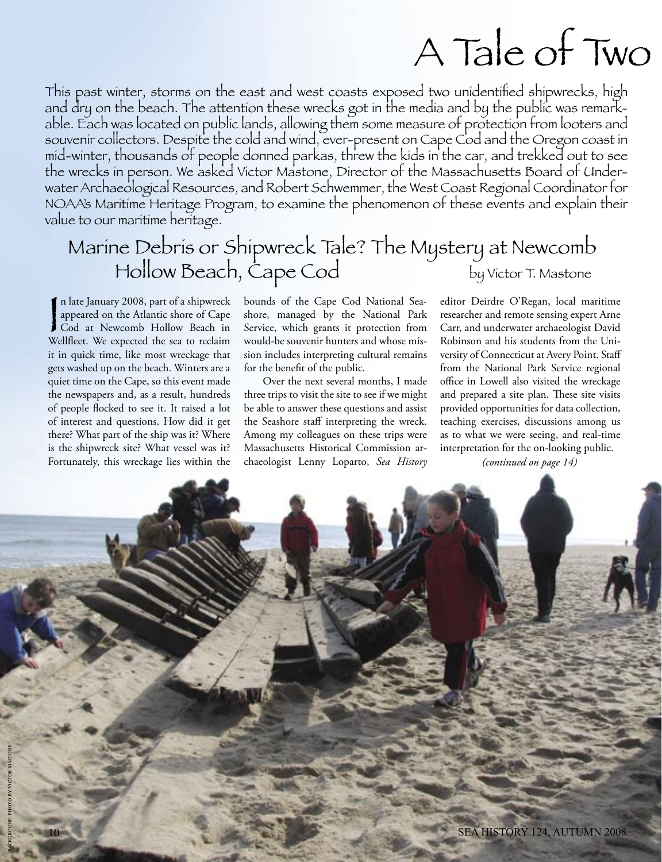## A Tale of Two

This past winter, storms on the east and west coasts exposed two unidentified shipwrecks, high and dry on the beach. The attention these wrecks got in the media and by the public was remarkable. Each was located on public lands, allowing them some measure of protection from looters and souvenir collectors. Despite the cold and wind, ever-present on Cape Cod and the Oregon coast in mid-winter, thousands of people donned parkas, threw the kids in the car, and trekked out to see the wrecks in person. We asked Victor Mastone, Director of the Massachusetts Board of Underwater Archaeological Resources, and Robert Schwemmer, the West Coast Regional Coordinator for NOAA's Maritime Heritage Program, to examine the phenomenon of these events and explain their value to our maritime heritage.

### Marine Debris or Shipwreck Tale? The Mystery at Newcomb Hollow Beach, Cape Cod by Victor T. Mastone

In late January 2008, part of a shipwreck<br>
appeared on the Atlantic shore of Cape<br>
Cod at Newcomb Hollow Beach in<br>
Wellfleet. We expected the sea to reclaim n late January 2008, part of a shipwreck appeared on the Atlantic shore of Cape Cod at Newcomb Hollow Beach in it in quick time, like most wreckage that gets washed up on the beach. Winters are a quiet time on the Cape, so this event made the newspapers and, as a result, hundreds of people flocked to see it. It raised a lot of interest and questions. How did it get there? What part of the ship was it? Where is the shipwreck site? What vessel was it? Fortunately, this wreckage lies within the

bounds of the Cape Cod National Seashore, managed by the National Park Service, which grants it protection from would-be souvenir hunters and whose mission includes interpreting cultural remains for the benefit of the public.

 Over the next several months, I made three trips to visit the site to see if we might be able to answer these questions and assist the Seashore staff interpreting the wreck. Among my colleagues on these trips were Massachusetts Historical Commission archaeologist Lenny Loparto, *Sea History*

editor Deirdre O'Regan, local maritime researcher and remote sensing expert Arne Carr, and underwater archaeologist David Robinson and his students from the University of Connecticut at Avery Point. Staff from the National Park Service regional office in Lowell also visited the wreckage and prepared a site plan. These site visits provided opportunities for data collection, teaching exercises, discussions among us as to what we were seeing, and real-time interpretation for the on-looking public.

*(continued on page 14)*

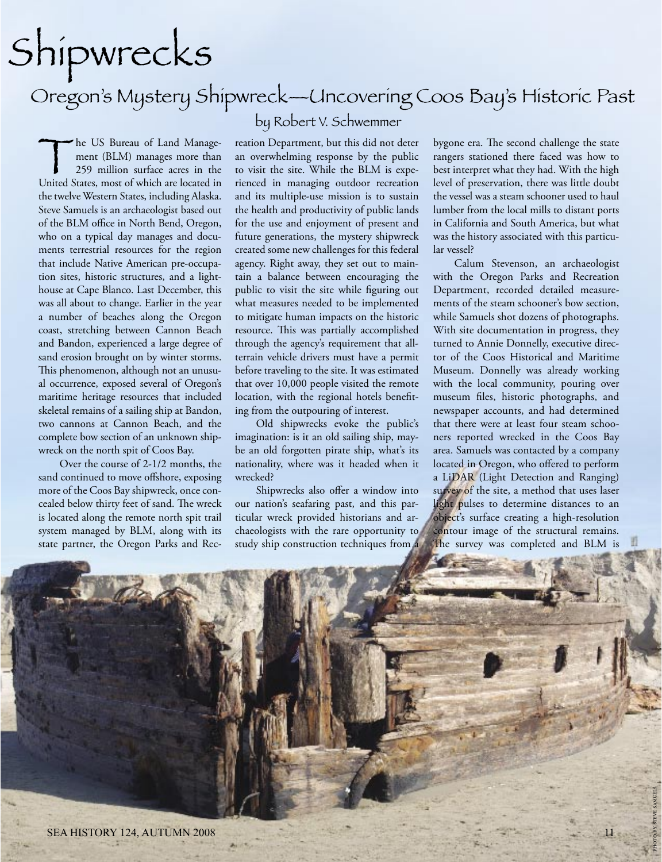# Shipwrecks

### Oregon's Mystery Shipwreck—Uncovering Coos Bay's Historic Past

#### by Robert V. Schwemmer

The US Bureau of Land Manage-<br>
ment (BLM) manages more than<br>
259 million surface acres in the<br>
United States, most of which are located in ment (BLM) manages more than 259 million surface acres in the the twelve Western States, including Alaska. Steve Samuels is an archaeologist based out of the BLM office in North Bend, Oregon, who on a typical day manages and documents terrestrial resources for the region that include Native American pre-occupation sites, historic structures, and a lighthouse at Cape Blanco. Last December, this was all about to change. Earlier in the year a number of beaches along the Oregon coast, stretching between Cannon Beach and Bandon, experienced a large degree of sand erosion brought on by winter storms. This phenomenon, although not an unusual occurrence, exposed several of Oregon's maritime heritage resources that included skeletal remains of a sailing ship at Bandon, two cannons at Cannon Beach, and the complete bow section of an unknown shipwreck on the north spit of Coos Bay.

 Over the course of 2-1/2 months, the sand continued to move offshore, exposing more of the Coos Bay shipwreck, once concealed below thirty feet of sand. The wreck is located along the remote north spit trail system managed by BLM, along with its state partner, the Oregon Parks and Recreation Department, but this did not deter an overwhelming response by the public to visit the site. While the BLM is experienced in managing outdoor recreation and its multiple-use mission is to sustain the health and productivity of public lands for the use and enjoyment of present and future generations, the mystery shipwreck created some new challenges for this federal agency. Right away, they set out to maintain a balance between encouraging the public to visit the site while figuring out what measures needed to be implemented to mitigate human impacts on the historic resource. This was partially accomplished through the agency's requirement that allterrain vehicle drivers must have a permit before traveling to the site. It was estimated that over 10,000 people visited the remote location, with the regional hotels benefiting from the outpouring of interest.

 Old shipwrecks evoke the public's imagination: is it an old sailing ship, maybe an old forgotten pirate ship, what's its nationality, where was it headed when it wrecked?

 Shipwrecks also offer a window into our nation's seafaring past, and this particular wreck provided historians and archaeologists with the rare opportunity to study ship construction techniques from a

bygone era. The second challenge the state rangers stationed there faced was how to best interpret what they had. With the high level of preservation, there was little doubt the vessel was a steam schooner used to haul lumber from the local mills to distant ports in California and South America, but what was the history associated with this particular vessel?

 Calum Stevenson, an archaeologist with the Oregon Parks and Recreation Department, recorded detailed measurements of the steam schooner's bow section, while Samuels shot dozens of photographs. With site documentation in progress, they turned to Annie Donnelly, executive director of the Coos Historical and Maritime Museum. Donnelly was already working with the local community, pouring over museum files, historic photographs, and newspaper accounts, and had determined that there were at least four steam schooners reported wrecked in the Coos Bay area. Samuels was contacted by a company located in Oregon, who offered to perform a LiDAR (Light Detection and Ranging) survey of the site, a method that uses laser light pulses to determine distances to an object's surface creating a high-resolution contour image of the structural remains. The survey was completed and BLM is

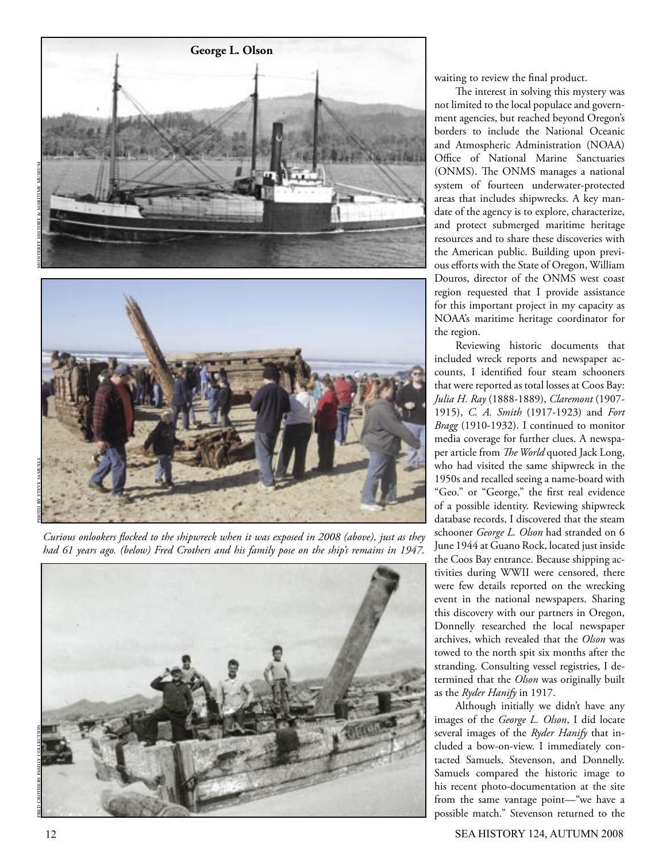

*Curious onlookers flocked to the shipwreck when it was exposed in 2008 (above), just as they had 61 years ago. (below) Fred Crothers and his family pose on the ship's remains in 1947.*



waiting to review the final product.

 The interest in solving this mystery was not limited to the local populace and government agencies, but reached beyond Oregon's borders to include the National Oceanic and Atmospheric Administration (NOAA) Office of National Marine Sanctuaries (ONMS). The ONMS manages a national system of fourteen underwater-protected areas that includes shipwrecks. A key mandate of the agency is to explore, characterize, and protect submerged maritime heritage resources and to share these discoveries with the American public. Building upon previous efforts with the State of Oregon, William Douros, director of the ONMS west coast region requested that I provide assistance for this important project in my capacity as NOAA's maritime heritage coordinator for the region.

 Reviewing historic documents that included wreck reports and newspaper accounts, I identified four steam schooners that were reported as total losses at Coos Bay: *Julia H. Ray* (1888-1889), *Claremont* (1907- 1915), *C. A. Smith* (1917-1923) and *Fort Bragg* (1910-1932). I continued to monitor media coverage for further clues. A newspaper article from *The World* quoted Jack Long, who had visited the same shipwreck in the 1950s and recalled seeing a name-board with "Geo." or "George," the first real evidence of a possible identity. Reviewing shipwreck database records, I discovered that the steam schooner *George L. Olson* had stranded on 6 June 1944 at Guano Rock, located just inside the Coos Bay entrance. Because shipping activities during WWII were censored, there were few details reported on the wrecking event in the national newspapers. Sharing this discovery with our partners in Oregon, Donnelly researched the local newspaper archives, which revealed that the *Olson* was towed to the north spit six months after the stranding. Consulting vessel registries, I determined that the *Olson* was originally built as the *Ryder Hanify* in 1917.

 Although initially we didn't have any images of the *George L. Olson*, I did locate several images of the *Ryder Hanify* that included a bow-on-view. I immediately contacted Samuels, Stevenson, and Donnelly. Samuels compared the historic image to his recent photo-documentation at the site from the same vantage point—"we have a possible match." Stevenson returned to the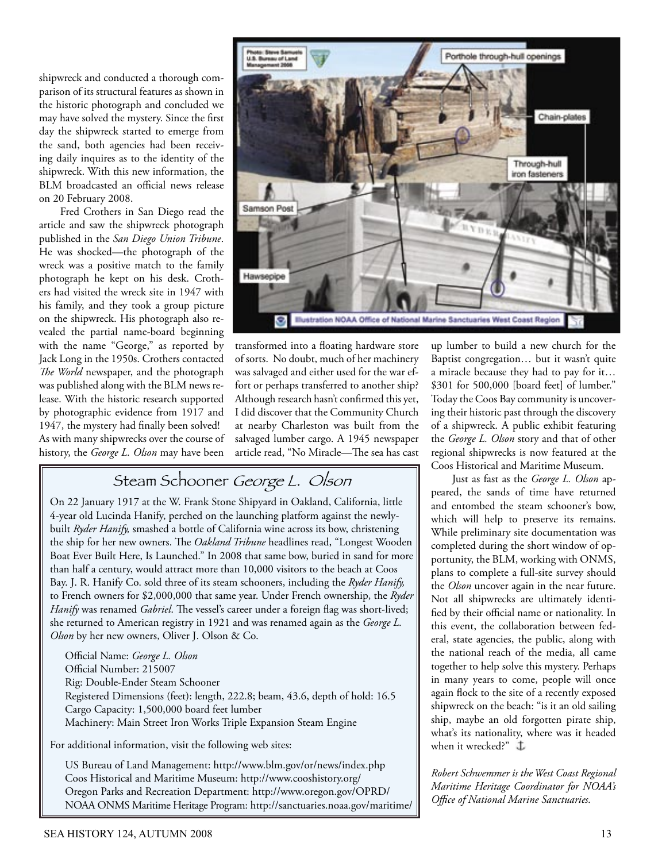shipwreck and conducted a thorough comparison of its structural features as shown in the historic photograph and concluded we may have solved the mystery. Since the first day the shipwreck started to emerge from the sand, both agencies had been receiving daily inquires as to the identity of the shipwreck. With this new information, the BLM broadcasted an official news release on 20 February 2008.

 Fred Crothers in San Diego read the article and saw the shipwreck photograph published in the *San Diego Union Tribune*. He was shocked—the photograph of the wreck was a positive match to the family photograph he kept on his desk. Crothers had visited the wreck site in 1947 with his family, and they took a group picture on the shipwreck. His photograph also revealed the partial name-board beginning with the name "George," as reported by Jack Long in the 1950s. Crothers contacted *The World* newspaper, and the photograph was published along with the BLM news release. With the historic research supported by photographic evidence from 1917 and 1947, the mystery had finally been solved! As with many shipwrecks over the course of history, the *George L. Olson* may have been



transformed into a floating hardware store of sorts. No doubt, much of her machinery was salvaged and either used for the war effort or perhaps transferred to another ship? Although research hasn't confirmed this yet, I did discover that the Community Church at nearby Charleston was built from the salvaged lumber cargo. A 1945 newspaper article read, "No Miracle—The sea has cast

Steam Schooner George L. Olson

On 22 January 1917 at the W. Frank Stone Shipyard in Oakland, California, little 4-year old Lucinda Hanify, perched on the launching platform against the newlybuilt *Ryder Hanify,* smashed a bottle of California wine across its bow, christening the ship for her new owners. The *Oakland Tribune* headlines read, "Longest Wooden Boat Ever Built Here, Is Launched." In 2008 that same bow, buried in sand for more than half a century, would attract more than 10,000 visitors to the beach at Coos Bay. J. R. Hanify Co. sold three of its steam schooners, including the *Ryder Hanify,* to French owners for \$2,000,000 that same year. Under French ownership, the *Ryder Hanify* was renamed *Gabriel*. The vessel's career under a foreign flag was short-lived; she returned to American registry in 1921 and was renamed again as the *George L. Olson* by her new owners, Oliver J. Olson & Co.

Official Name: *George L. Olson* Official Number: 215007 Rig: Double-Ender Steam Schooner Registered Dimensions (feet): length, 222.8; beam, 43.6, depth of hold: 16.5 Cargo Capacity: 1,500,000 board feet lumber Machinery: Main Street Iron Works Triple Expansion Steam Engine

For additional information, visit the following web sites:

US Bureau of Land Management: http://www.blm.gov/or/news/index.php Coos Historical and Maritime Museum: http://www.cooshistory.org/ Oregon Parks and Recreation Department: http://www.oregon.gov/OPRD/ NOAA ONMS Maritime Heritage Program: http://sanctuaries.noaa.gov/maritime/ up lumber to build a new church for the Baptist congregation… but it wasn't quite a miracle because they had to pay for it… \$301 for 500,000 [board feet] of lumber." Today the Coos Bay community is uncovering their historic past through the discovery of a shipwreck. A public exhibit featuring the *George L. Olson* story and that of other regional shipwrecks is now featured at the Coos Historical and Maritime Museum.

 Just as fast as the *George L. Olson* appeared, the sands of time have returned and entombed the steam schooner's bow, which will help to preserve its remains. While preliminary site documentation was completed during the short window of opportunity, the BLM, working with ONMS, plans to complete a full-site survey should the *Olson* uncover again in the near future. Not all shipwrecks are ultimately identified by their official name or nationality. In this event, the collaboration between federal, state agencies, the public, along with the national reach of the media, all came together to help solve this mystery. Perhaps in many years to come, people will once again flock to the site of a recently exposed shipwreck on the beach: "is it an old sailing ship, maybe an old forgotten pirate ship, what's its nationality, where was it headed when it wrecked?"  $\mathbf{\dot{\perp}}$ 

*Robert Schwemmer is the West Coast Regional Maritime Heritage Coordinator for NOAA's Office of National Marine Sanctuaries.*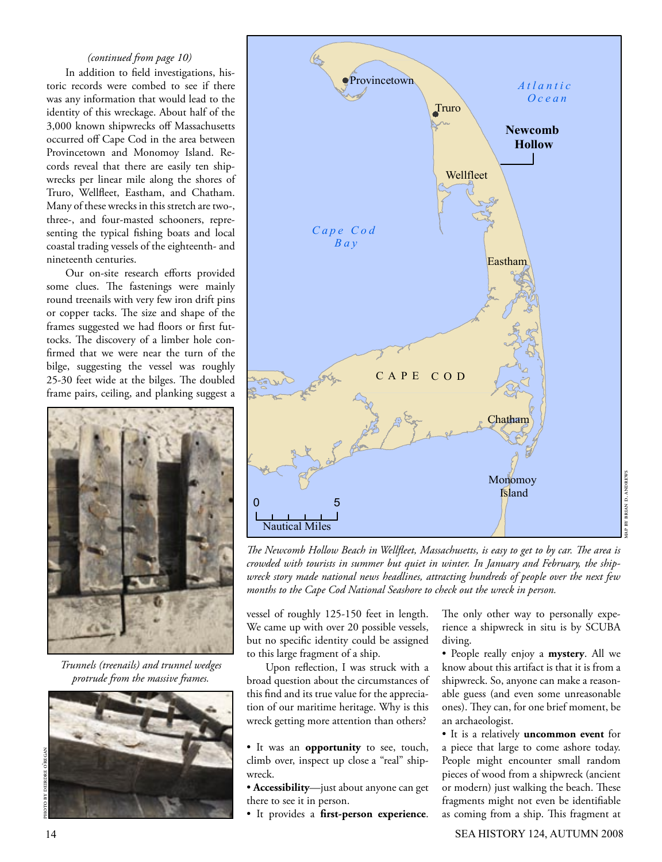#### *(continued from page 10)*

 In addition to field investigations, historic records were combed to see if there was any information that would lead to the identity of this wreckage. About half of the 3,000 known shipwrecks off Massachusetts occurred off Cape Cod in the area between Provincetown and Monomoy Island. Records reveal that there are easily ten shipwrecks per linear mile along the shores of Truro, Wellfleet, Eastham, and Chatham. Many of these wrecks in this stretch are two-, three-, and four-masted schooners, representing the typical fishing boats and local coastal trading vessels of the eighteenth- and nineteenth centuries.

 Our on-site research efforts provided some clues. The fastenings were mainly round treenails with very few iron drift pins or copper tacks. The size and shape of the frames suggested we had floors or first futtocks. The discovery of a limber hole confirmed that we were near the turn of the bilge, suggesting the vessel was roughly 25-30 feet wide at the bilges. The doubled frame pairs, ceiling, and planking suggest a



*Trunnels (treenails) and trunnel wedges protrude from the massive frames.*





*The Newcomb Hollow Beach in Wellfleet, Massachusetts, is easy to get to by car. The area is crowded with tourists in summer but quiet in winter. In January and February, the shipwreck story made national news headlines, attracting hundreds of people over the next few months to the Cape Cod National Seashore to check out the wreck in person.*

vessel of roughly 125-150 feet in length. We came up with over 20 possible vessels, but no specific identity could be assigned to this large fragment of a ship.

 Upon reflection, I was struck with a broad question about the circumstances of this find and its true value for the appreciation of our maritime heritage. Why is this wreck getting more attention than others?

• It was an **opportunity** to see, touch, climb over, inspect up close a "real" shipwreck.

• **Accessibility**—just about anyone can get there to see it in person.

• It provides a **first-person experience**.

The only other way to personally experience a shipwreck in situ is by SCUBA diving.

• People really enjoy a **mystery**. All we know about this artifact is that it is from a shipwreck. So, anyone can make a reasonable guess (and even some unreasonable ones). They can, for one brief moment, be an archaeologist.

• It is a relatively **uncommon event** for a piece that large to come ashore today. People might encounter small random pieces of wood from a shipwreck (ancient or modern) just walking the beach. These fragments might not even be identifiable as coming from a ship. This fragment at